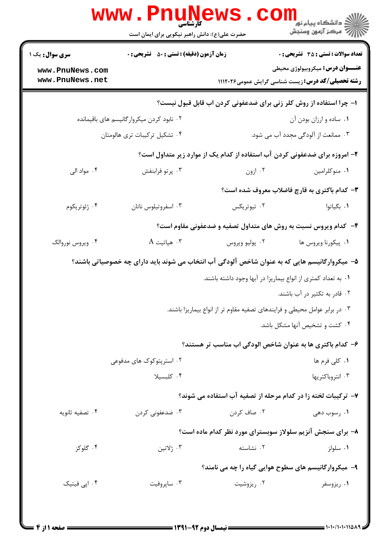|                                    | حضرت علی(ع): دانش راهبر نیکویی برای ایمان است      |                                                                                                | ڪ دانشڪاه پيا <sub>م</sub> نور<br><mark>√</mark> مرڪز آزمون وسنڊش                                   |
|------------------------------------|----------------------------------------------------|------------------------------------------------------------------------------------------------|-----------------------------------------------------------------------------------------------------|
| <b>سری سوال :</b> یک ۱             | <b>زمان آزمون (دقیقه) : تستی : 50 ٪ تشریحی : 0</b> |                                                                                                | <b>تعداد سوالات : تستی : 35 تشریحی : 0</b>                                                          |
| www.PnuNews.com<br>www.PnuNews.net |                                                    |                                                                                                | <b>عنـــوان درس:</b> میکروبیولوژی محیطی<br><b>رشته تحصیلی/کد درس:</b> زیست شناسی گرایش عمومی۱۱۱۲۰۲۶ |
|                                    |                                                    | ا- چرا استفاده از روش کلر زنی برای ضدعفونی کردن اب قابل قبول نیست؟                             |                                                                                                     |
|                                    | ۰۲ نابود کردن میکروارگانیسم های باقیمانده          |                                                                                                | ٠١ ساده و ارزان بودن آن                                                                             |
|                                    | ۰۴ تشکیل ترکیبات تری هالومتان                      |                                                                                                | ۰۳ ممانعت از آلودگی مجدد آب می شود.                                                                 |
|                                    |                                                    | ۲- امروزه برای ضدعفونی کردن آب استفاده از کدام یک از موارد زیر متداول است؟                     |                                                                                                     |
| ۰۴ مواد الی                        | ۰۳ پرتو فرابنفش                                    | ۰۲ ازون                                                                                        | ٠١ منوكلرامين                                                                                       |
|                                    |                                                    |                                                                                                | ۳- کدام باکتری به قارچ فاضلاب معروف شده است؟                                                        |
| ۰۴ ژئوتریکوم                       | ۰۳ اسفروتيلوس ناتان                                | ۰۲ تيوتريکس                                                                                    | ۰۱ بگیاتوا                                                                                          |
|                                    |                                                    | ۴- کدام ویروس نسبت به روش های متداول تصفیه و ضدعفونی مقاوم است؟                                |                                                                                                     |
| ۰۴ ویروس نوروالک                   | $A$ هپاتيت. $\cdot$                                | ۰۲ پوليو ويروس                                                                                 | ٠١. پيکورنا ويروس ها                                                                                |
|                                    |                                                    | ۵–  میکروارگانیسم هایی که به عنوان شاخص آلودگی آب انتخاب می شوند باید دارای چه خصوصیاتی باشند؟ |                                                                                                     |
|                                    |                                                    | ۰۱ به تعداد کمتری از انواع بیماریزا در آبها وجود داشته باشند.                                  |                                                                                                     |
|                                    |                                                    |                                                                                                | ۰۲ قادر به تکثیر در آب باشند.                                                                       |
|                                    |                                                    | ۰۳ در برابر عوامل محیطی و فرایندهای تصفیه مقاوم تر از انواع بیماریزا باشند.                    |                                                                                                     |
|                                    |                                                    |                                                                                                | ۰۴ کشت و تشخیص آنها مشکل باشد.                                                                      |
|                                    |                                                    | ۶– کدام باکتری ها به عنوان شاخص الودگی اب مناسب تر هستند؟                                      |                                                                                                     |
|                                    | ۰۲ استریتوکوک های مدفوعی                           |                                                                                                | ۰۱ کلی فرم ها                                                                                       |
|                                    | ۰۴ کلبسیلا                                         |                                                                                                | ۰۳ انتروباکتریها                                                                                    |
|                                    |                                                    | ۷- ترکیبات لخته زا در کدام مرحله از تصفیه آب استفاده می شوند؟                                  |                                                                                                     |
| ۰۴ تصفيه ثانويه                    | ۰۳ ضدعفونی کردن                                    | ۰۲ صاف کردن                                                                                    | ۰۱ رسوب دهی                                                                                         |
|                                    |                                                    | ۸– برای سنجش آنزیم سلولاز سوبسترای مورد نظر کدام ماده است؟                                     |                                                                                                     |
| ۰۴ گلوکز                           | ۰۳ ژلاتين                                          | ٠٢ نشاسته                                                                                      | ۰۱ سلولز                                                                                            |
|                                    |                                                    | ۹- میکروارگانیسم های سطوح هوایی گیاه را چه می نامند؟                                           |                                                                                                     |
| ۰۴ اپی فیتیک                       | ۰۳ ساپروفیت                                        | ۰۲ ریزوشیت                                                                                     | ۰۱ ریزوسفر                                                                                          |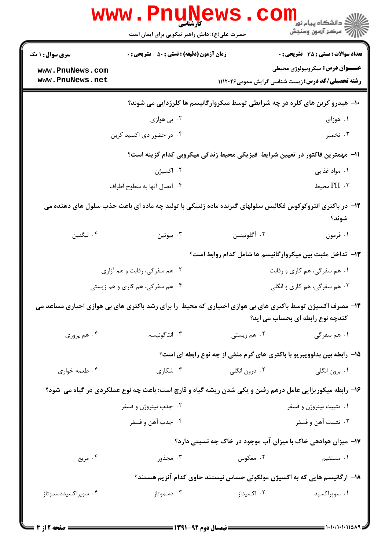|                                                                                                                                              | <b>www.Pnu</b><br>کارشناسی<br>حضرت علی(ع): دانش راهبر نیکویی برای ایمان است |                              | ڪ دانشڪاه پيا <sub>م</sub> نور<br><mark>√</mark> مرڪز آزمون وسنڊش                                       |  |  |  |
|----------------------------------------------------------------------------------------------------------------------------------------------|-----------------------------------------------------------------------------|------------------------------|---------------------------------------------------------------------------------------------------------|--|--|--|
| <b>سری سوال : ۱ یک</b>                                                                                                                       | <b>زمان آزمون (دقیقه) : تستی : 50 ٪ تشریحی : 0</b>                          |                              | <b>تعداد سوالات : تستی : 35 - تشریحی : 0</b>                                                            |  |  |  |
| www.PnuNews.com<br>www.PnuNews.net                                                                                                           |                                                                             |                              | <b>عنـــوان درس:</b> میکروبیولوژی محیطی<br><b>رشته تحصیلی/کد درس: زیست شناسی گرایش عمومی1۱۱۲۰۲۶</b>     |  |  |  |
| ∙۱- هیدرو کربن های کلره در چه شرایطی توسط میکروارگانیسم ها کلرزدایی می شوند؟                                                                 |                                                                             |                              |                                                                                                         |  |  |  |
|                                                                                                                                              | ۰۲ بي هوازي                                                                 |                              | ۰۱ هوزای                                                                                                |  |  |  |
|                                                                                                                                              | ۰۴ در حضور دی اکسید کربن                                                    |                              | ۰۳ تخمیر                                                                                                |  |  |  |
|                                                                                                                                              |                                                                             |                              | 11- مهمترین فاکتور در تعیین شرایط فیزیکی محیط زندگی میکروبی کدام گزینه است؟                             |  |  |  |
|                                                                                                                                              | ۰۲ اکسیژن                                                                   |                              | ۰۱ مواد غذایی                                                                                           |  |  |  |
|                                                                                                                                              | ۰۴ اتصال آنها به سطوح اطراف                                                 |                              | ۰۳ محيط                                                                                                 |  |  |  |
| ۱۲– در باکتری انتروکوکوس فکالیس سلولهای گیرنده ماده ژنتیکی با تولید چه ماده ای باعث جذب سلول های دهنده می<br>شوند؟                           |                                                                             |                              |                                                                                                         |  |  |  |
| ۰۴ لیگنین                                                                                                                                    | بيوتين $\cdot^{\mathsf{v}}$                                                 | ٢. آگلوتينين                 | ۰۱ فرمون                                                                                                |  |  |  |
|                                                                                                                                              |                                                                             |                              | ۱۳- تداخل مثبت بین میکروارگانیسم ها شامل کدام روابط است؟                                                |  |  |  |
|                                                                                                                                              | ۰۲ هم سفرگی، رقابت و هم آزاری                                               | ۰۱ هم سفرگی، هم کاری و رقابت |                                                                                                         |  |  |  |
| ۰۴ هم سفرگی، هم کاری و هم زیستی                                                                                                              |                                                                             | ۰۳ هم سفرگی، هم کاری و انگلی |                                                                                                         |  |  |  |
| ۱۴- مصرف اکسیژن توسط باکتری های بی هوازی اختیاری که محیط را برای رشد باکتری های بی هوازی اجباری مساعد می<br>کندچه نوع رابطه ای بحساب می اید؟ |                                                                             |                              |                                                                                                         |  |  |  |
| ۰۴ هم پروري                                                                                                                                  | ۰۳ انتاگونیسم                                                               | ۰۲ هم زیستی                  | ۰۱ هم سفرگی                                                                                             |  |  |  |
|                                                                                                                                              |                                                                             |                              | ۱۵- رابطه بین بدلوویبریو با باکتری های گرم منفی از چه نوع رابطه ای است؟                                 |  |  |  |
| ۰۴ طعمه خواري                                                                                                                                | ۰۳ شکاری                                                                    | ۰۲ درون انگلی                | ۰۱ برون انگلی                                                                                           |  |  |  |
|                                                                                                                                              |                                                                             |                              | ۱۶- رابطه میکوریزایی عامل درهم رفتن و یکی شدن ریشه گیاه و قارچ است؛ باعث چه نوع عملکردی در گیاه می شود؟ |  |  |  |
|                                                                                                                                              | ۰۲ جذب نیتروژن و فسفر                                                       |                              | ۰۱ تثبیت نیتروژن و فسفر                                                                                 |  |  |  |
|                                                                                                                                              | ۰۴ جذب آهن و فسفر                                                           |                              | ۰۳ تثبيت آهن و فسفر                                                                                     |  |  |  |
|                                                                                                                                              |                                                                             |                              | ۱۷- میزان هوادهی خاک با میزان آب موجود در خاک چه نسبتی دارد؟                                            |  |  |  |
| ۰۴ مربع                                                                                                                                      | ۰۳ مجذور                                                                    | ۰۲ معکوس                     | <b>۱.</b> مستقیم                                                                                        |  |  |  |
|                                                                                                                                              |                                                                             |                              | ۱۸– ارگانیسم هایی که به اکسیژن مولکولی حساس نیستند حاوی کدام آنزیم هستند؟                               |  |  |  |
| ۰۴ سوپراکسیددسموتاز                                                                                                                          | ۰۳ دسموتاز                                                                  | ۰۲ اکسیداز                   | ۰۱ سوپراکسید                                                                                            |  |  |  |
|                                                                                                                                              |                                                                             |                              |                                                                                                         |  |  |  |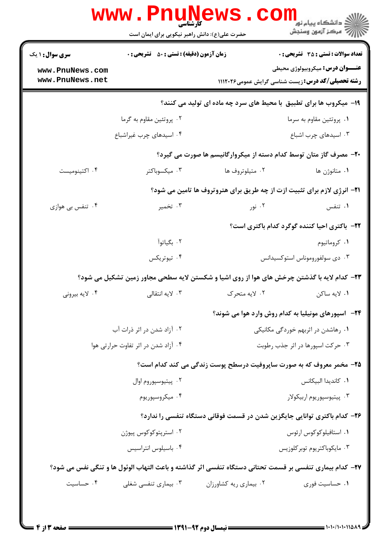| <b>سری سوال : ۱ یک</b>             | <b>زمان آزمون (دقیقه) : تستی : 50 ٪ تشریحی : 0</b>                                                      |                                                                                 | <b>تعداد سوالات : تستی : 35 - تشریحی : 0</b>                                                        |  |
|------------------------------------|---------------------------------------------------------------------------------------------------------|---------------------------------------------------------------------------------|-----------------------------------------------------------------------------------------------------|--|
| www.PnuNews.com<br>www.PnuNews.net |                                                                                                         |                                                                                 | <b>عنـــوان درس:</b> میکروبیولوژی محیطی<br><b>رشته تحصیلی/کد درس:</b> زیست شناسی گرایش عمومی1۱۱۲۰۲۶ |  |
|                                    |                                                                                                         | ۱۹- میکروب ها برای تطبیق با محیط های سرد چه ماده ای تولید می کنند؟              |                                                                                                     |  |
|                                    | ۰۲ پروتئین مقاوم به گرما                                                                                |                                                                                 | ۰۱ پروتئین مقاوم به سرما                                                                            |  |
|                                    | ۰۴ اسیدهای چرب غیراشباع                                                                                 |                                                                                 | ۰۳ اسیدهای چرب اشباع                                                                                |  |
|                                    |                                                                                                         | +۲- مصرف گاز متان توسط کدام دسته از میکروارگانیسم ها صورت می گیرد؟              |                                                                                                     |  |
| ۰۴ اکتینومیست                      | ۰۳ میکسوباکتر                                                                                           | ۰۲ متيلوتروف ها                                                                 | ۰۱ متانوژن ها                                                                                       |  |
|                                    |                                                                                                         | <b>۲۱</b> - انرژی لازم برای تثبیت ازت از چه طریق برای هتروتروف ها تامین می شود؟ |                                                                                                     |  |
| ۰۴ تنفس بي هوازي                   | ۰۳ تخمیر                                                                                                | ۰۲ نور                                                                          | ۰۱ تنفس                                                                                             |  |
|                                    |                                                                                                         |                                                                                 | <b>۲۲</b> - باکتری احیا کننده گوگرد کدام باکتری است؟                                                |  |
|                                    | ۰۲ بگیاتوآ                                                                                              |                                                                                 | ۰۱ کروماتیوم                                                                                        |  |
|                                    | ۰۴ تيوتريكس                                                                                             |                                                                                 | ۰۳ دی سولفوروموناس استوکسیدانس                                                                      |  |
|                                    | ۲۳- کدام لایه با گذشتن چرخش های هوا از روی اشیا و شکستن لایه سطحی مجاور زمین تشکیل می شود؟              |                                                                                 |                                                                                                     |  |
| ۰۴ لايه بيروني                     | ۰۳ لایه انتقالی                                                                                         | ۰۲ لايه متحرک                                                                   | ۰۱ لايه ساكن                                                                                        |  |
|                                    |                                                                                                         |                                                                                 | <b>۲۴</b> - اسپورهای مونیلیا به کدام روش وارد هوا می شوند؟                                          |  |
| ۰۲ آزاد شدن در اثر ذرات آب         |                                                                                                         | ۰۱ رهاشدن در اثربهم خوردگی مکانیکی                                              |                                                                                                     |  |
|                                    | ۰۴ آزاد شدن در اثر تفاوت حرارتی هوا                                                                     | ۰۳ حرکت اسپورها در اثر جذب رطوبت                                                |                                                                                                     |  |
|                                    |                                                                                                         | ۲۵- مخمر معروف که به صورت ساپروفیت درسطح پوست زندگی می کند کدام است؟            |                                                                                                     |  |
|                                    | ۰۲ پيتيوسپوروم اوال                                                                                     |                                                                                 | ٠١. كانديدا البيكانس                                                                                |  |
|                                    | ۰۴ میکروسپوریوم                                                                                         |                                                                                 | ۰۳ پیتیوسپوریوم اربیکولار                                                                           |  |
|                                    |                                                                                                         | ۲۶– کدام باکتری توانایی جایگزین شدن در قسمت فوقانی دستگاه تنفسی را ندارد؟       |                                                                                                     |  |
| ۰۲ استرپتوکوکوس پیوژن              |                                                                                                         |                                                                                 | ۰۱ استافیلوکوکوس ارئوس                                                                              |  |
|                                    | ۰۴ باسیلوس انتراسیس                                                                                     |                                                                                 | ۰۳ مايكوباكتريوم توبر كلوزيس                                                                        |  |
|                                    | ٢٧- كدام بيماري تنفسي بر قسمت تحتاني دستگاه تنفسي اثر گذاشته و باعث التهاب الوئول ها و تنگي نفس مي شود؟ |                                                                                 |                                                                                                     |  |
| ۰۴ حساسیت                          | ۰۳ بیماری تنفسی شغلی                                                                                    | ۰۲ بیماری ریه کشاورزان                                                          | ۰۱ حساسیت فوری                                                                                      |  |